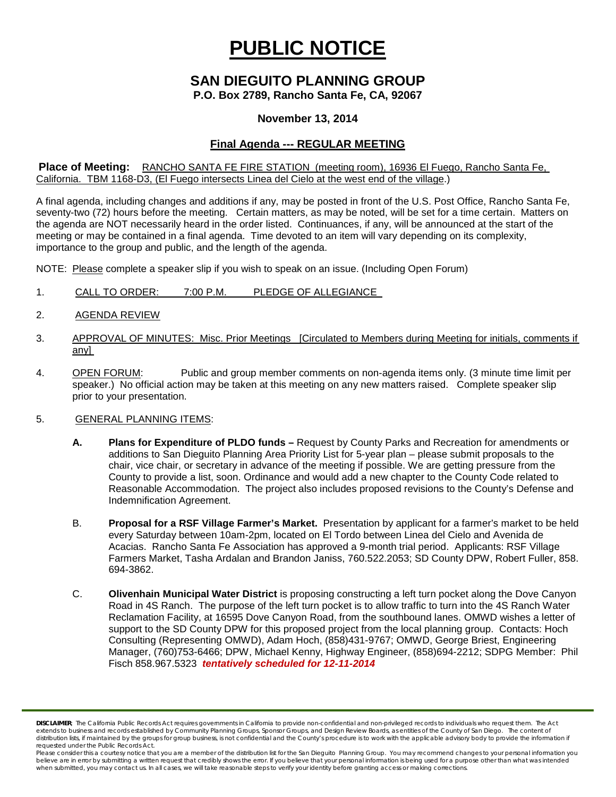# **PUBLIC NOTICE**

# **SAN DIEGUITO PLANNING GROUP**

**P.O. Box 2789, Rancho Santa Fe, CA, 92067**

## **November 13, 2014**

# **Final Agenda --- REGULAR MEETING**

**Place of Meeting:** RANCHO SANTA FE FIRE STATION (meeting room), 16936 El Fuego, Rancho Santa Fe, California. TBM 1168-D3, (El Fuego intersects Linea del Cielo at the west end of the village.)

A final agenda, including changes and additions if any, may be posted in front of the U.S. Post Office, Rancho Santa Fe, seventy-two (72) hours before the meeting. Certain matters, as may be noted, will be set for a time certain. Matters on the agenda are NOT necessarily heard in the order listed. Continuances, if any, will be announced at the start of the meeting or may be contained in a final agenda. Time devoted to an item will vary depending on its complexity, importance to the group and public, and the length of the agenda.

NOTE: Please complete a speaker slip if you wish to speak on an issue. (Including Open Forum)

- 1. CALL TO ORDER: 7:00 P.M. PLEDGE OF ALLEGIANCE
- 2. AGENDA REVIEW
- 3. APPROVAL OF MINUTES: Misc. Prior Meetings [Circulated to Members during Meeting for initials, comments if any]
- 4. OPEN FORUM: Public and group member comments on non-agenda items only. (3 minute time limit per speaker.) No official action may be taken at this meeting on any new matters raised. Complete speaker slip prior to your presentation.

### 5. GENERAL PLANNING ITEMS:

- **A. Plans for Expenditure of PLDO funds –** Request by County Parks and Recreation for amendments or additions to San Dieguito Planning Area Priority List for 5-year plan – please submit proposals to the chair, vice chair, or secretary in advance of the meeting if possible. We are getting pressure from the County to provide a list, soon. Ordinance and would add a new chapter to the County Code related to Reasonable Accommodation. The project also includes proposed revisions to the County's Defense and Indemnification Agreement.
- B. **Proposal for a RSF Village Farmer's Market.** Presentation by applicant for a farmer's market to be held every Saturday between 10am-2pm, located on El Tordo between Linea del Cielo and Avenida de Acacias. Rancho Santa Fe Association has approved a 9-month trial period. Applicants: RSF Village Farmers Market, Tasha Ardalan and Brandon Janiss, 760.522.2053; SD County DPW, Robert Fuller, 858. 694-3862.
- C. **Olivenhain Municipal Water District** is proposing constructing a left turn pocket along the Dove Canyon Road in 4S Ranch. The purpose of the left turn pocket is to allow traffic to turn into the 4S Ranch Water Reclamation Facility, at 16595 Dove Canyon Road, from the southbound lanes. OMWD wishes a letter of support to the SD County DPW for this proposed project from the local planning group. Contacts: Hoch Consulting (Representing OMWD), Adam Hoch, (858)431-9767; OMWD, George Briest, Engineering Manager, (760)753-6466; DPW, Michael Kenny, Highway Engineer, (858)694-2212; SDPG Member: Phil Fisch 858.967.5323 *tentatively scheduled for 12-11-2014*

*DISCLAIMER; The California Public Records Act requires governments in California to provide non-confidential and non-privileged records to individuals who request them. The Act*  extends to business and records established by Community Planning Groups, Sponsor Groups, and Design Review Boards, as entities of the County of San Diego. The content of distribution lists, if maintained by the groups for group business, is not confidential and the County's procedure is to work with the applicable advisory body to provide the information if *requested under the Public Records Act.*

*Please consider this a courtesy notice that you are a member of the distribution list for the San Dieguito Planning Group. You may recommend changes to your personal information you*  believe are in error by submitting a written request that credibly shows the error. If you believe that your personal information is being used for a purpose other than what was intended<br>when submitted, you may contact us.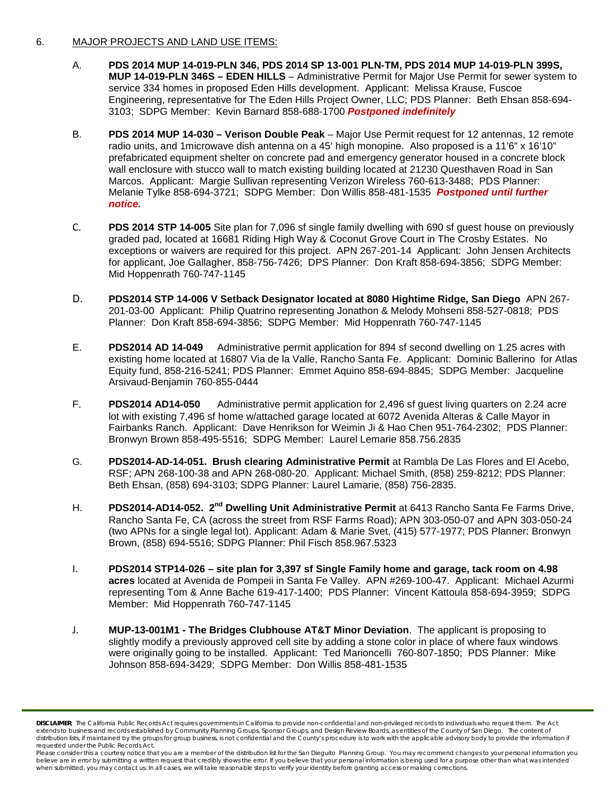### 6. MAJOR PROJECTS AND LAND USE ITEMS:

- A. **PDS 2014 MUP 14-019-PLN 346, PDS 2014 SP 13-001 PLN-TM, PDS 2014 MUP 14-019-PLN 399S, MUP 14-019-PLN 346S – EDEN HILLS** – Administrative Permit for Major Use Permit for sewer system to service 334 homes in proposed Eden Hills development. Applicant: Melissa Krause, Fuscoe Engineering, representative for The Eden Hills Project Owner, LLC; PDS Planner: Beth Ehsan 858-694- 3103; SDPG Member: Kevin Barnard 858-688-1700 *Postponed indefinitely*
- B. **PDS 2014 MUP 14-030 – Verison Double Peak** Major Use Permit request for 12 antennas, 12 remote radio units, and 1microwave dish antenna on a 45' high monopine. Also proposed is a 11'6" x 16'10" prefabricated equipment shelter on concrete pad and emergency generator housed in a concrete block wall enclosure with stucco wall to match existing building located at 21230 Questhaven Road in San Marcos. Applicant: Margie Sullivan representing Verizon Wireless 760-613-3488; PDS Planner: Melanie Tylke 858-694-3721; SDPG Member: Don Willis 858-481-1535 *Postponed until further notice.*
- C. **PDS 2014 STP 14-005** Site plan for 7,096 sf single family dwelling with 690 sf guest house on previously graded pad, located at 16681 Riding High Way & Coconut Grove Court in The Crosby Estates. No exceptions or waivers are required for this project. APN 267-201-14 Applicant: John Jensen Architects for applicant, Joe Gallagher, 858-756-7426; DPS Planner: Don Kraft 858-694-3856; SDPG Member: Mid Hoppenrath 760-747-1145
- D. **PDS2014 STP 14-006 V Setback Designator located at 8080 Hightime Ridge, San Diego** APN 267- 201-03-00 Applicant: Philip Quatrino representing Jonathon & Melody Mohseni 858-527-0818; PDS Planner: Don Kraft 858-694-3856; SDPG Member: Mid Hoppenrath 760-747-1145
- E. **PDS2014 AD 14-049** Administrative permit application for 894 sf second dwelling on 1.25 acres with existing home located at 16807 Via de la Valle, Rancho Santa Fe. Applicant: Dominic Ballerino for Atlas Equity fund, 858-216-5241; PDS Planner: Emmet Aquino 858-694-8845; SDPG Member: Jacqueline Arsivaud-Benjamin 760-855-0444
- F. **PDS2014 AD14-050** Administrative permit application for 2,496 sf guest living quarters on 2.24 acre lot with existing 7,496 sf home w/attached garage located at 6072 Avenida Alteras & Calle Mayor in Fairbanks Ranch. Applicant: Dave Henrikson for Weimin Ji & Hao Chen 951-764-2302; PDS Planner: Bronwyn Brown 858-495-5516; SDPG Member: Laurel Lemarie 858.756.2835
- G. **PDS2014-AD-14-051. Brush clearing Administrative Permit** at Rambla De Las Flores and El Acebo, RSF; APN 268-100-38 and APN 268-080-20. Applicant: Michael Smith, (858) 259-8212; PDS Planner: Beth Ehsan, (858) 694-3103; SDPG Planner: Laurel Lamarie, (858) 756-2835.
- H. **PDS2014-AD14-052. 2nd Dwelling Unit Administrative Permit** at 6413 Rancho Santa Fe Farms Drive, Rancho Santa Fe, CA (across the street from RSF Farms Road); APN 303-050-07 and APN 303-050-24 (two APNs for a single legal lot). Applicant: Adam & Marie Svet, (415) 577-1977; PDS Planner: Bronwyn Brown, (858) 694-5516; SDPG Planner: Phil Fisch 858.967.5323
- I. **PDS2014 STP14-026 – site plan for 3,397 sf Single Family home and garage, tack room on 4.98 acres** located at Avenida de Pompeii in Santa Fe Valley. APN #269-100-47. Applicant: Michael Azurmi representing Tom & Anne Bache 619-417-1400; PDS Planner: Vincent Kattoula 858-694-3959; SDPG Member: Mid Hoppenrath 760-747-1145
- J. **MUP-13-001M1 - The Bridges Clubhouse AT&T Minor Deviation**. The applicant is proposing to slightly modify a previously approved cell site by adding a stone color in place of where faux windows were originally going to be installed. Applicant: Ted Marioncelli 760-807-1850; PDS Planner: Mike Johnson 858-694-3429; SDPG Member: Don Willis 858-481-1535

*DISCLAIMER; The California Public Records Act requires governments in California to provide non-confidential and non-privileged records to individuals who request them. The Act*  extends to business and records established by Community Planning Groups, Sponsor Groups, and Design Review Boards, as entities of the County of San Diego. The content of distribution lists, if maintained by the groups for group business, is not confidential and the County's procedure is to work with the applicable advisory body to provide the information if *requested under the Public Records Act.*

*Please consider this a courtesy notice that you are a member of the distribution list for the San Dieguito Planning Group. You may recommend changes to your personal information you*  believe are in error by submitting a written request that credibly shows the error. If you believe that your personal information is being used for a purpose other than what was intended<br>when submitted, you may contact us.